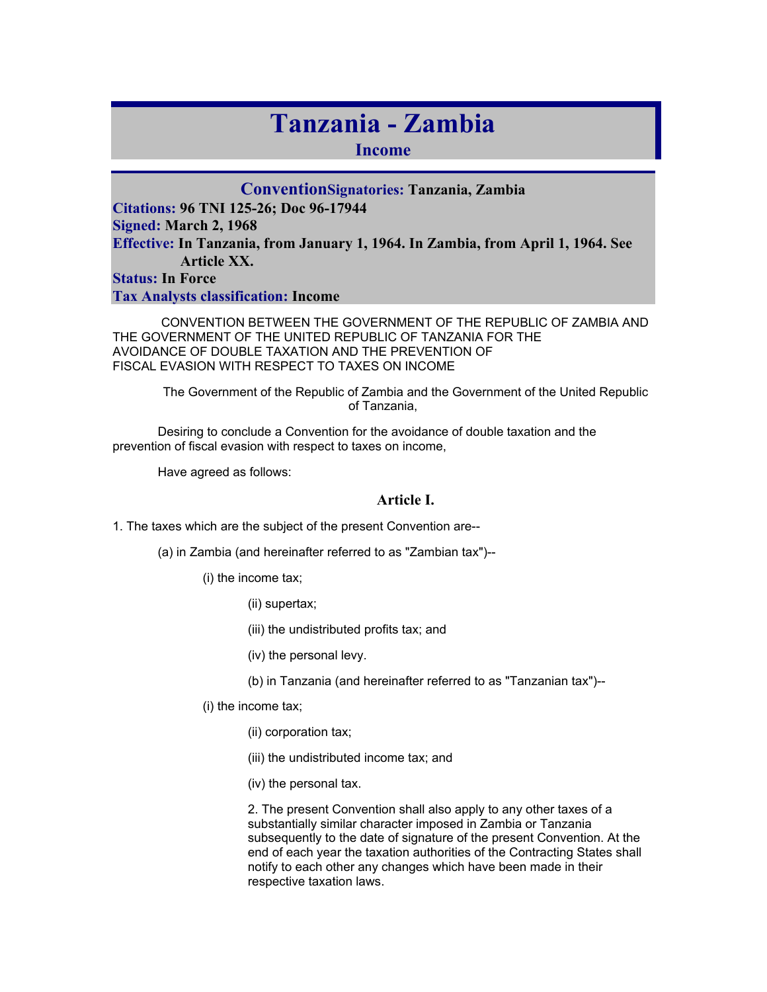# **Tanzania - Zambia**

**Income** 

**ConventionSignatories: Tanzania, Zambia Citations: 96 TNI 125-26; Doc 96-17944 Signed: March 2, 1968 Effective: In Tanzania, from January 1, 1964. In Zambia, from April 1, 1964. See Article XX. Status: In Force Tax Analysts classification: Income** 

 CONVENTION BETWEEN THE GOVERNMENT OF THE REPUBLIC OF ZAMBIA AND THE GOVERNMENT OF THE UNITED REPUBLIC OF TANZANIA FOR THE AVOIDANCE OF DOUBLE TAXATION AND THE PREVENTION OF FISCAL EVASION WITH RESPECT TO TAXES ON INCOME

The Government of the Republic of Zambia and the Government of the United Republic of Tanzania,

Desiring to conclude a Convention for the avoidance of double taxation and the prevention of fiscal evasion with respect to taxes on income,

Have agreed as follows:

## **Article I.**

1. The taxes which are the subject of the present Convention are--

(a) in Zambia (and hereinafter referred to as "Zambian tax")--

(i) the income tax;

(ii) supertax;

(iii) the undistributed profits tax; and

(iv) the personal levy.

(b) in Tanzania (and hereinafter referred to as "Tanzanian tax")--

(i) the income tax;

(ii) corporation tax;

(iii) the undistributed income tax; and

(iv) the personal tax.

2. The present Convention shall also apply to any other taxes of a substantially similar character imposed in Zambia or Tanzania subsequently to the date of signature of the present Convention. At the end of each year the taxation authorities of the Contracting States shall notify to each other any changes which have been made in their respective taxation laws.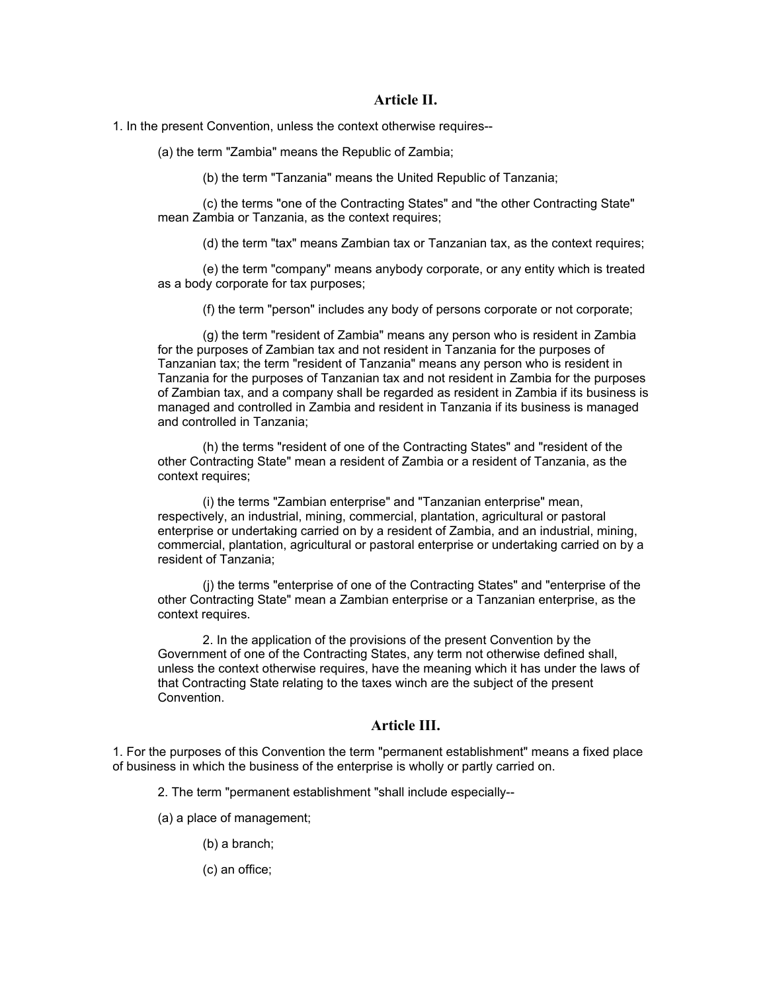## **Article II.**

1. In the present Convention, unless the context otherwise requires--

(a) the term "Zambia" means the Republic of Zambia;

(b) the term "Tanzania" means the United Republic of Tanzania;

(c) the terms "one of the Contracting States" and "the other Contracting State" mean Zambia or Tanzania, as the context requires;

(d) the term "tax" means Zambian tax or Tanzanian tax, as the context requires;

(e) the term "company" means anybody corporate, or any entity which is treated as a body corporate for tax purposes;

(f) the term "person" includes any body of persons corporate or not corporate;

(g) the term "resident of Zambia" means any person who is resident in Zambia for the purposes of Zambian tax and not resident in Tanzania for the purposes of Tanzanian tax; the term "resident of Tanzania" means any person who is resident in Tanzania for the purposes of Tanzanian tax and not resident in Zambia for the purposes of Zambian tax, and a company shall be regarded as resident in Zambia if its business is managed and controlled in Zambia and resident in Tanzania if its business is managed and controlled in Tanzania;

(h) the terms "resident of one of the Contracting States" and "resident of the other Contracting State" mean a resident of Zambia or a resident of Tanzania, as the context requires;

(i) the terms "Zambian enterprise" and "Tanzanian enterprise" mean, respectively, an industrial, mining, commercial, plantation, agricultural or pastoral enterprise or undertaking carried on by a resident of Zambia, and an industrial, mining, commercial, plantation, agricultural or pastoral enterprise or undertaking carried on by a resident of Tanzania;

(j) the terms "enterprise of one of the Contracting States" and "enterprise of the other Contracting State" mean a Zambian enterprise or a Tanzanian enterprise, as the context requires.

2. In the application of the provisions of the present Convention by the Government of one of the Contracting States, any term not otherwise defined shall, unless the context otherwise requires, have the meaning which it has under the laws of that Contracting State relating to the taxes winch are the subject of the present Convention.

## **Article III.**

1. For the purposes of this Convention the term "permanent establishment" means a fixed place of business in which the business of the enterprise is wholly or partly carried on.

2. The term "permanent establishment "shall include especially--

(a) a place of management;

(b) a branch;

(c) an office;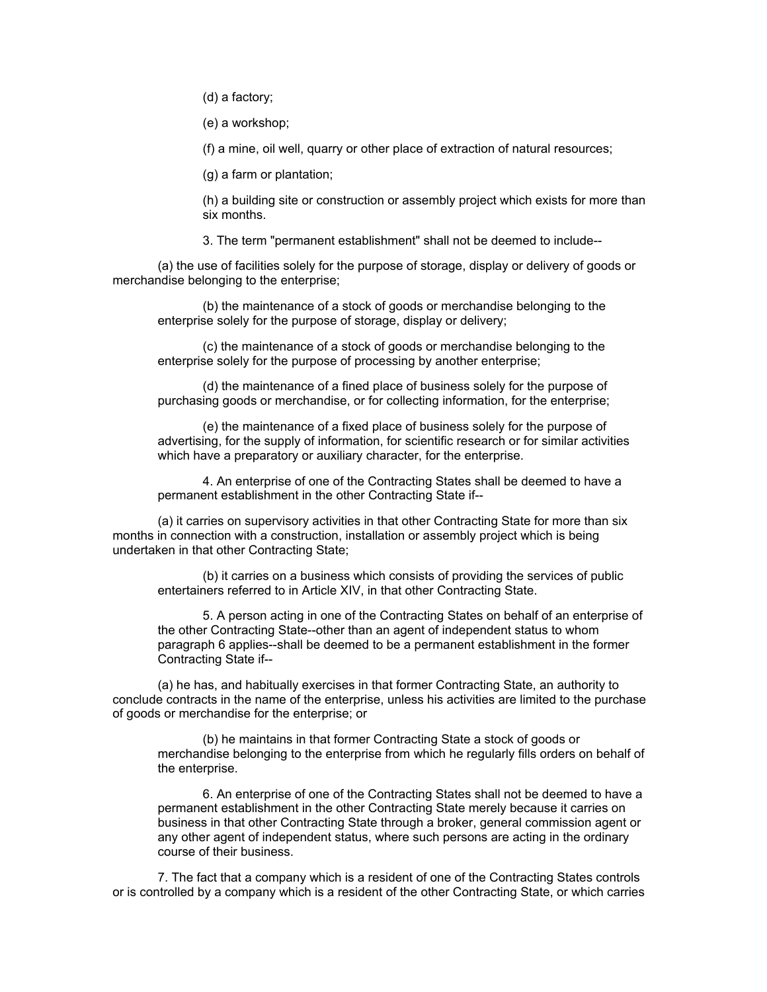(d) a factory;

(e) a workshop;

(f) a mine, oil well, quarry or other place of extraction of natural resources;

(g) a farm or plantation;

(h) a building site or construction or assembly project which exists for more than six months.

3. The term "permanent establishment" shall not be deemed to include--

(a) the use of facilities solely for the purpose of storage, display or delivery of goods or merchandise belonging to the enterprise;

(b) the maintenance of a stock of goods or merchandise belonging to the enterprise solely for the purpose of storage, display or delivery;

(c) the maintenance of a stock of goods or merchandise belonging to the enterprise solely for the purpose of processing by another enterprise;

(d) the maintenance of a fined place of business solely for the purpose of purchasing goods or merchandise, or for collecting information, for the enterprise;

(e) the maintenance of a fixed place of business solely for the purpose of advertising, for the supply of information, for scientific research or for similar activities which have a preparatory or auxiliary character, for the enterprise.

4. An enterprise of one of the Contracting States shall be deemed to have a permanent establishment in the other Contracting State if--

(a) it carries on supervisory activities in that other Contracting State for more than six months in connection with a construction, installation or assembly project which is being undertaken in that other Contracting State;

(b) it carries on a business which consists of providing the services of public entertainers referred to in Article XIV, in that other Contracting State.

5. A person acting in one of the Contracting States on behalf of an enterprise of the other Contracting State--other than an agent of independent status to whom paragraph 6 applies--shall be deemed to be a permanent establishment in the former Contracting State if--

(a) he has, and habitually exercises in that former Contracting State, an authority to conclude contracts in the name of the enterprise, unless his activities are limited to the purchase of goods or merchandise for the enterprise; or

(b) he maintains in that former Contracting State a stock of goods or merchandise belonging to the enterprise from which he regularly fills orders on behalf of the enterprise.

6. An enterprise of one of the Contracting States shall not be deemed to have a permanent establishment in the other Contracting State merely because it carries on business in that other Contracting State through a broker, general commission agent or any other agent of independent status, where such persons are acting in the ordinary course of their business.

7. The fact that a company which is a resident of one of the Contracting States controls or is controlled by a company which is a resident of the other Contracting State, or which carries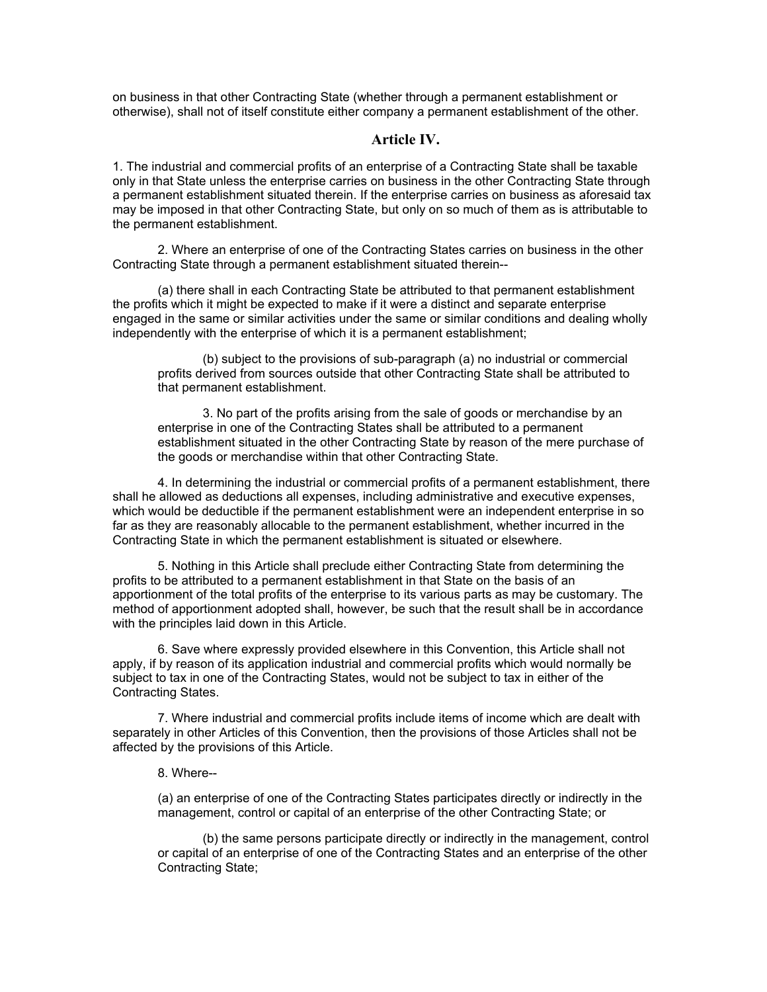on business in that other Contracting State (whether through a permanent establishment or otherwise), shall not of itself constitute either company a permanent establishment of the other.

## **Article IV.**

1. The industrial and commercial profits of an enterprise of a Contracting State shall be taxable only in that State unless the enterprise carries on business in the other Contracting State through a permanent establishment situated therein. If the enterprise carries on business as aforesaid tax may be imposed in that other Contracting State, but only on so much of them as is attributable to the permanent establishment.

2. Where an enterprise of one of the Contracting States carries on business in the other Contracting State through a permanent establishment situated therein--

(a) there shall in each Contracting State be attributed to that permanent establishment the profits which it might be expected to make if it were a distinct and separate enterprise engaged in the same or similar activities under the same or similar conditions and dealing wholly independently with the enterprise of which it is a permanent establishment;

(b) subject to the provisions of sub-paragraph (a) no industrial or commercial profits derived from sources outside that other Contracting State shall be attributed to that permanent establishment.

3. No part of the profits arising from the sale of goods or merchandise by an enterprise in one of the Contracting States shall be attributed to a permanent establishment situated in the other Contracting State by reason of the mere purchase of the goods or merchandise within that other Contracting State.

4. In determining the industrial or commercial profits of a permanent establishment, there shall he allowed as deductions all expenses, including administrative and executive expenses, which would be deductible if the permanent establishment were an independent enterprise in so far as they are reasonably allocable to the permanent establishment, whether incurred in the Contracting State in which the permanent establishment is situated or elsewhere.

5. Nothing in this Article shall preclude either Contracting State from determining the profits to be attributed to a permanent establishment in that State on the basis of an apportionment of the total profits of the enterprise to its various parts as may be customary. The method of apportionment adopted shall, however, be such that the result shall be in accordance with the principles laid down in this Article.

6. Save where expressly provided elsewhere in this Convention, this Article shall not apply, if by reason of its application industrial and commercial profits which would normally be subject to tax in one of the Contracting States, would not be subject to tax in either of the Contracting States.

7. Where industrial and commercial profits include items of income which are dealt with separately in other Articles of this Convention, then the provisions of those Articles shall not be affected by the provisions of this Article.

#### 8. Where--

(a) an enterprise of one of the Contracting States participates directly or indirectly in the management, control or capital of an enterprise of the other Contracting State; or

(b) the same persons participate directly or indirectly in the management, control or capital of an enterprise of one of the Contracting States and an enterprise of the other Contracting State;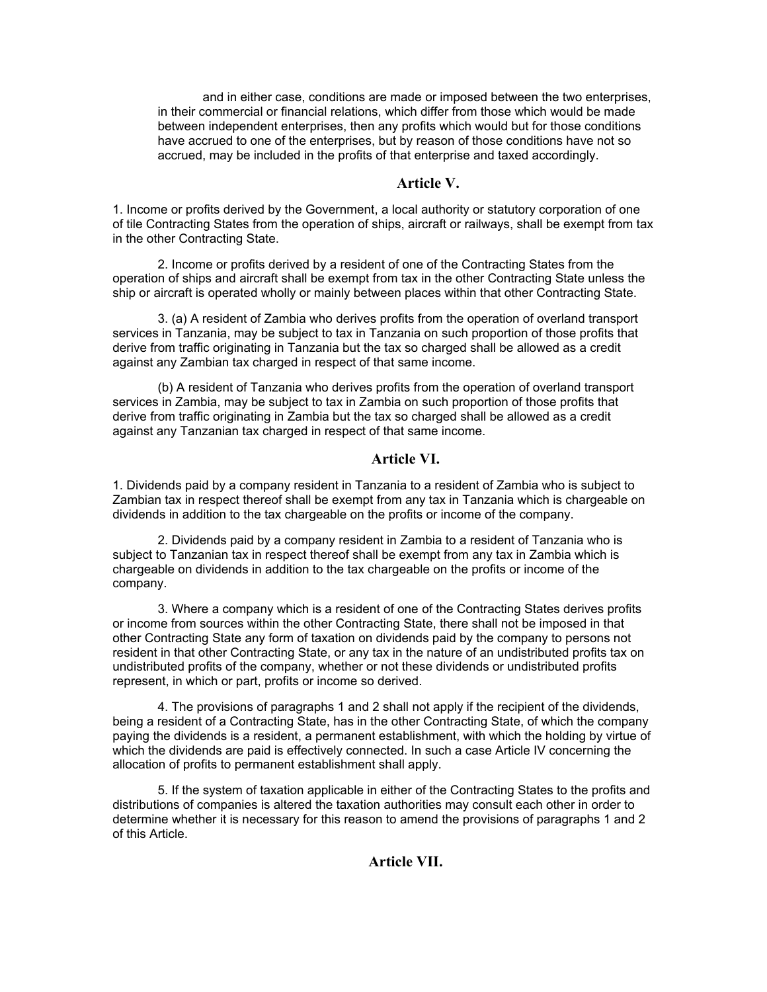and in either case, conditions are made or imposed between the two enterprises, in their commercial or financial relations, which differ from those which would be made between independent enterprises, then any profits which would but for those conditions have accrued to one of the enterprises, but by reason of those conditions have not so accrued, may be included in the profits of that enterprise and taxed accordingly.

## **Article V.**

1. Income or profits derived by the Government, a local authority or statutory corporation of one of tile Contracting States from the operation of ships, aircraft or railways, shall be exempt from tax in the other Contracting State.

2. Income or profits derived by a resident of one of the Contracting States from the operation of ships and aircraft shall be exempt from tax in the other Contracting State unless the ship or aircraft is operated wholly or mainly between places within that other Contracting State.

3. (a) A resident of Zambia who derives profits from the operation of overland transport services in Tanzania, may be subject to tax in Tanzania on such proportion of those profits that derive from traffic originating in Tanzania but the tax so charged shall be allowed as a credit against any Zambian tax charged in respect of that same income.

(b) A resident of Tanzania who derives profits from the operation of overland transport services in Zambia, may be subject to tax in Zambia on such proportion of those profits that derive from traffic originating in Zambia but the tax so charged shall be allowed as a credit against any Tanzanian tax charged in respect of that same income.

## **Article VI.**

1. Dividends paid by a company resident in Tanzania to a resident of Zambia who is subject to Zambian tax in respect thereof shall be exempt from any tax in Tanzania which is chargeable on dividends in addition to the tax chargeable on the profits or income of the company.

2. Dividends paid by a company resident in Zambia to a resident of Tanzania who is subject to Tanzanian tax in respect thereof shall be exempt from any tax in Zambia which is chargeable on dividends in addition to the tax chargeable on the profits or income of the company.

3. Where a company which is a resident of one of the Contracting States derives profits or income from sources within the other Contracting State, there shall not be imposed in that other Contracting State any form of taxation on dividends paid by the company to persons not resident in that other Contracting State, or any tax in the nature of an undistributed profits tax on undistributed profits of the company, whether or not these dividends or undistributed profits represent, in which or part, profits or income so derived.

4. The provisions of paragraphs 1 and 2 shall not apply if the recipient of the dividends, being a resident of a Contracting State, has in the other Contracting State, of which the company paying the dividends is a resident, a permanent establishment, with which the holding by virtue of which the dividends are paid is effectively connected. In such a case Article IV concerning the allocation of profits to permanent establishment shall apply.

5. If the system of taxation applicable in either of the Contracting States to the profits and distributions of companies is altered the taxation authorities may consult each other in order to determine whether it is necessary for this reason to amend the provisions of paragraphs 1 and 2 of this Article.

## **Article VII.**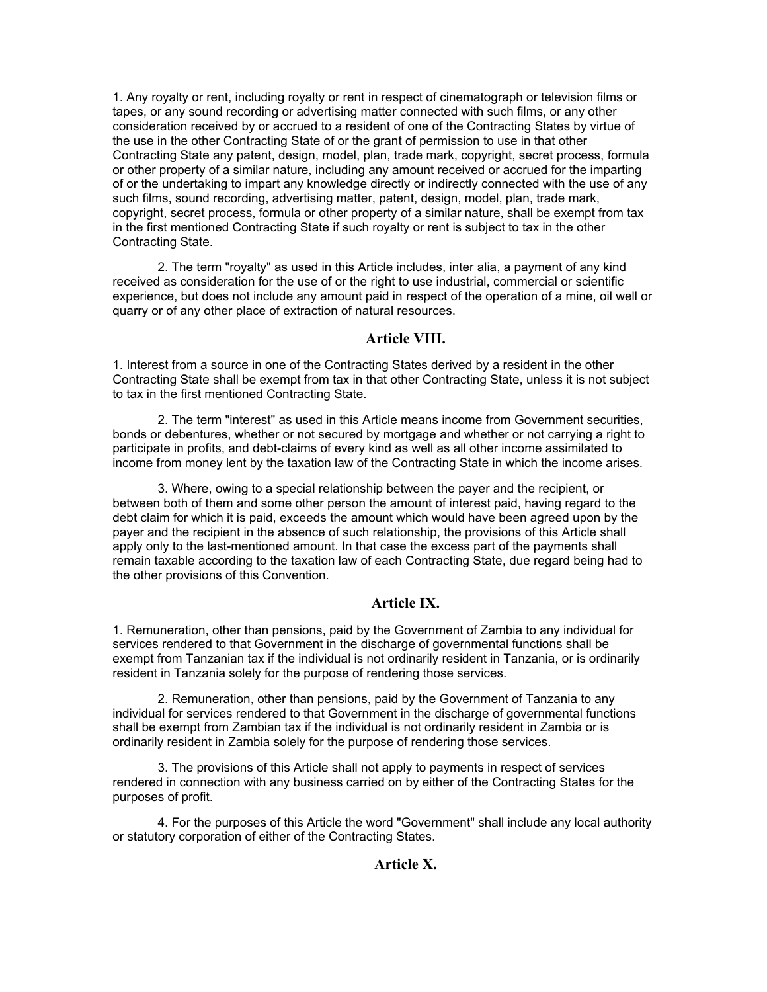1. Any royalty or rent, including royalty or rent in respect of cinematograph or television films or tapes, or any sound recording or advertising matter connected with such films, or any other consideration received by or accrued to a resident of one of the Contracting States by virtue of the use in the other Contracting State of or the grant of permission to use in that other Contracting State any patent, design, model, plan, trade mark, copyright, secret process, formula or other property of a similar nature, including any amount received or accrued for the imparting of or the undertaking to impart any knowledge directly or indirectly connected with the use of any such films, sound recording, advertising matter, patent, design, model, plan, trade mark, copyright, secret process, formula or other property of a similar nature, shall be exempt from tax in the first mentioned Contracting State if such royalty or rent is subject to tax in the other Contracting State.

2. The term "royalty" as used in this Article includes, inter alia, a payment of any kind received as consideration for the use of or the right to use industrial, commercial or scientific experience, but does not include any amount paid in respect of the operation of a mine, oil well or quarry or of any other place of extraction of natural resources.

## **Article VIII.**

1. Interest from a source in one of the Contracting States derived by a resident in the other Contracting State shall be exempt from tax in that other Contracting State, unless it is not subject to tax in the first mentioned Contracting State.

2. The term "interest" as used in this Article means income from Government securities, bonds or debentures, whether or not secured by mortgage and whether or not carrying a right to participate in profits, and debt-claims of every kind as well as all other income assimilated to income from money lent by the taxation law of the Contracting State in which the income arises.

3. Where, owing to a special relationship between the payer and the recipient, or between both of them and some other person the amount of interest paid, having regard to the debt claim for which it is paid, exceeds the amount which would have been agreed upon by the payer and the recipient in the absence of such relationship, the provisions of this Article shall apply only to the last-mentioned amount. In that case the excess part of the payments shall remain taxable according to the taxation law of each Contracting State, due regard being had to the other provisions of this Convention.

## **Article IX.**

1. Remuneration, other than pensions, paid by the Government of Zambia to any individual for services rendered to that Government in the discharge of governmental functions shall be exempt from Tanzanian tax if the individual is not ordinarily resident in Tanzania, or is ordinarily resident in Tanzania solely for the purpose of rendering those services.

2. Remuneration, other than pensions, paid by the Government of Tanzania to any individual for services rendered to that Government in the discharge of governmental functions shall be exempt from Zambian tax if the individual is not ordinarily resident in Zambia or is ordinarily resident in Zambia solely for the purpose of rendering those services.

3. The provisions of this Article shall not apply to payments in respect of services rendered in connection with any business carried on by either of the Contracting States for the purposes of profit.

4. For the purposes of this Article the word "Government" shall include any local authority or statutory corporation of either of the Contracting States.

## **Article X.**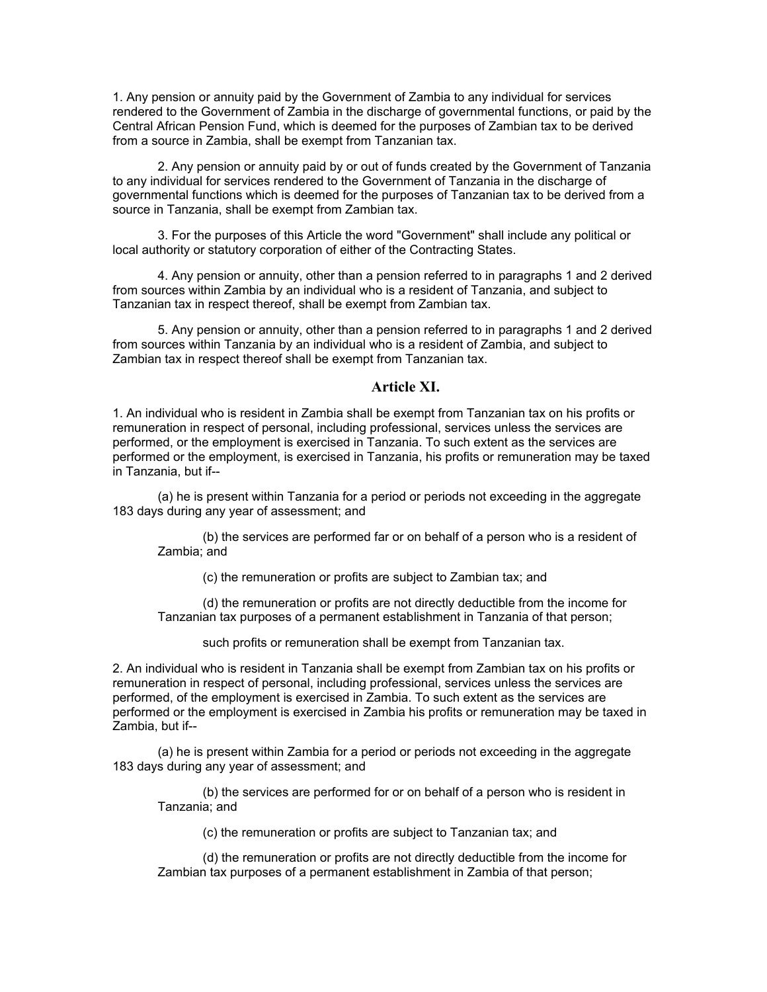1. Any pension or annuity paid by the Government of Zambia to any individual for services rendered to the Government of Zambia in the discharge of governmental functions, or paid by the Central African Pension Fund, which is deemed for the purposes of Zambian tax to be derived from a source in Zambia, shall be exempt from Tanzanian tax.

2. Any pension or annuity paid by or out of funds created by the Government of Tanzania to any individual for services rendered to the Government of Tanzania in the discharge of governmental functions which is deemed for the purposes of Tanzanian tax to be derived from a source in Tanzania, shall be exempt from Zambian tax.

3. For the purposes of this Article the word "Government" shall include any political or local authority or statutory corporation of either of the Contracting States.

4. Any pension or annuity, other than a pension referred to in paragraphs 1 and 2 derived from sources within Zambia by an individual who is a resident of Tanzania, and subject to Tanzanian tax in respect thereof, shall be exempt from Zambian tax.

5. Any pension or annuity, other than a pension referred to in paragraphs 1 and 2 derived from sources within Tanzania by an individual who is a resident of Zambia, and subject to Zambian tax in respect thereof shall be exempt from Tanzanian tax.

## **Article XI.**

1. An individual who is resident in Zambia shall be exempt from Tanzanian tax on his profits or remuneration in respect of personal, including professional, services unless the services are performed, or the employment is exercised in Tanzania. To such extent as the services are performed or the employment, is exercised in Tanzania, his profits or remuneration may be taxed in Tanzania, but if--

(a) he is present within Tanzania for a period or periods not exceeding in the aggregate 183 days during any year of assessment; and

(b) the services are performed far or on behalf of a person who is a resident of Zambia; and

(c) the remuneration or profits are subject to Zambian tax; and

(d) the remuneration or profits are not directly deductible from the income for Tanzanian tax purposes of a permanent establishment in Tanzania of that person;

such profits or remuneration shall be exempt from Tanzanian tax.

2. An individual who is resident in Tanzania shall be exempt from Zambian tax on his profits or remuneration in respect of personal, including professional, services unless the services are performed, of the employment is exercised in Zambia. To such extent as the services are performed or the employment is exercised in Zambia his profits or remuneration may be taxed in Zambia, but if--

(a) he is present within Zambia for a period or periods not exceeding in the aggregate 183 days during any year of assessment; and

(b) the services are performed for or on behalf of a person who is resident in Tanzania; and

(c) the remuneration or profits are subject to Tanzanian tax; and

(d) the remuneration or profits are not directly deductible from the income for Zambian tax purposes of a permanent establishment in Zambia of that person;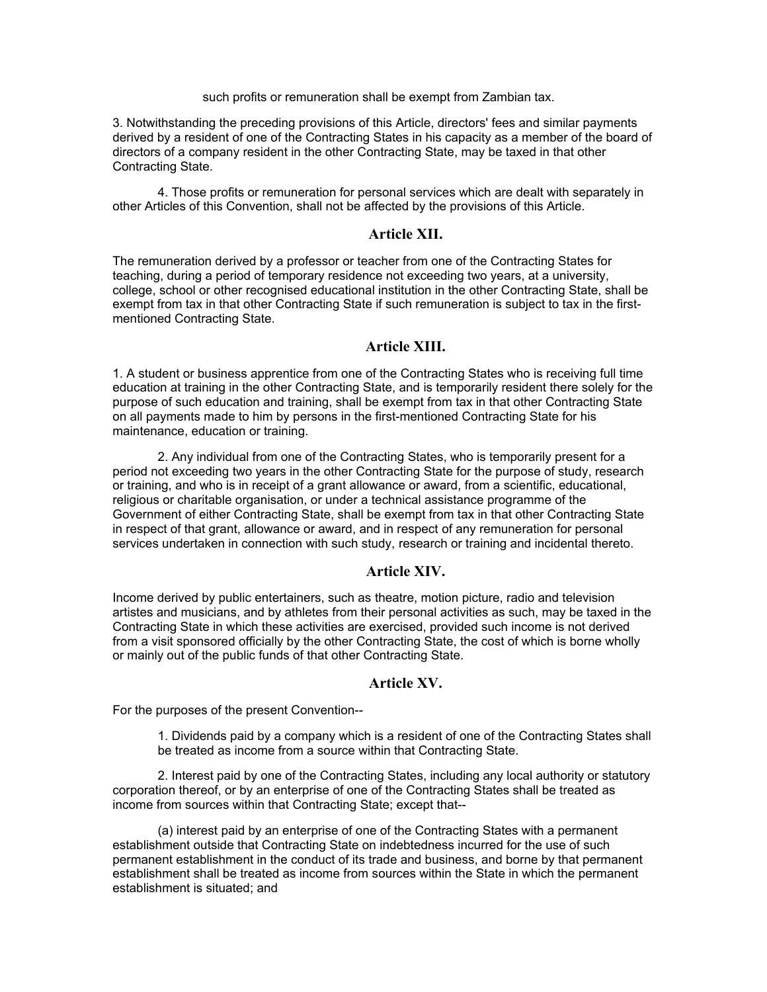#### such profits or remuneration shall be exempt from Zambian tax.

3. Notwithstanding the preceding provisions of this Article, directors' fees and similar payments derived by a resident of one of the Contracting States in his capacity as a member of the board of directors of a company resident in the other Contracting State, may be taxed in that other Contracting State.

4. Those profits or remuneration for personal services which are dealt with separately in other Articles of this Convention, shall not be affected by the provisions of this Article.

## **Article XII.**

The remuneration derived by a professor or teacher from one of the Contracting States for teaching, during a period of temporary residence not exceeding two years, at a university, college, school or other recognised educational institution in the other Contracting State, shall be exempt from tax in that other Contracting State if such remuneration is subject to tax in the firstmentioned Contracting State.

## **Article XIII.**

1. A student or business apprentice from one of the Contracting States who is receiving full time education at training in the other Contracting State, and is temporarily resident there solely for the purpose of such education and training, shall be exempt from tax in that other Contracting State on all payments made to him by persons in the first-mentioned Contracting State for his maintenance, education or training.

2. Any individual from one of the Contracting States, who is temporarily present for a period not exceeding two years in the other Contracting State for the purpose of study, research or training, and who is in receipt of a grant allowance or award, from a scientific, educational, religious or charitable organisation, or under a technical assistance programme of the Government of either Contracting State, shall be exempt from tax in that other Contracting State in respect of that grant, allowance or award, and in respect of any remuneration for personal services undertaken in connection with such study, research or training and incidental thereto.

## **Article XIV.**

Income derived by public entertainers, such as theatre, motion picture, radio and television artistes and musicians, and by athletes from their personal activities as such, may be taxed in the Contracting State in which these activities are exercised, provided such income is not derived from a visit sponsored officially by the other Contracting State, the cost of which is borne wholly or mainly out of the public funds of that other Contracting State.

## **Article XV.**

For the purposes of the present Convention--

1. Dividends paid by a company which is a resident of one of the Contracting States shall be treated as income from a source within that Contracting State.

2. Interest paid by one of the Contracting States, including any local authority or statutory corporation thereof, or by an enterprise of one of the Contracting States shall be treated as income from sources within that Contracting State; except that--

(a) interest paid by an enterprise of one of the Contracting States with a permanent establishment outside that Contracting State on indebtedness incurred for the use of such permanent establishment in the conduct of its trade and business, and borne by that permanent establishment shall be treated as income from sources within the State in which the permanent establishment is situated; and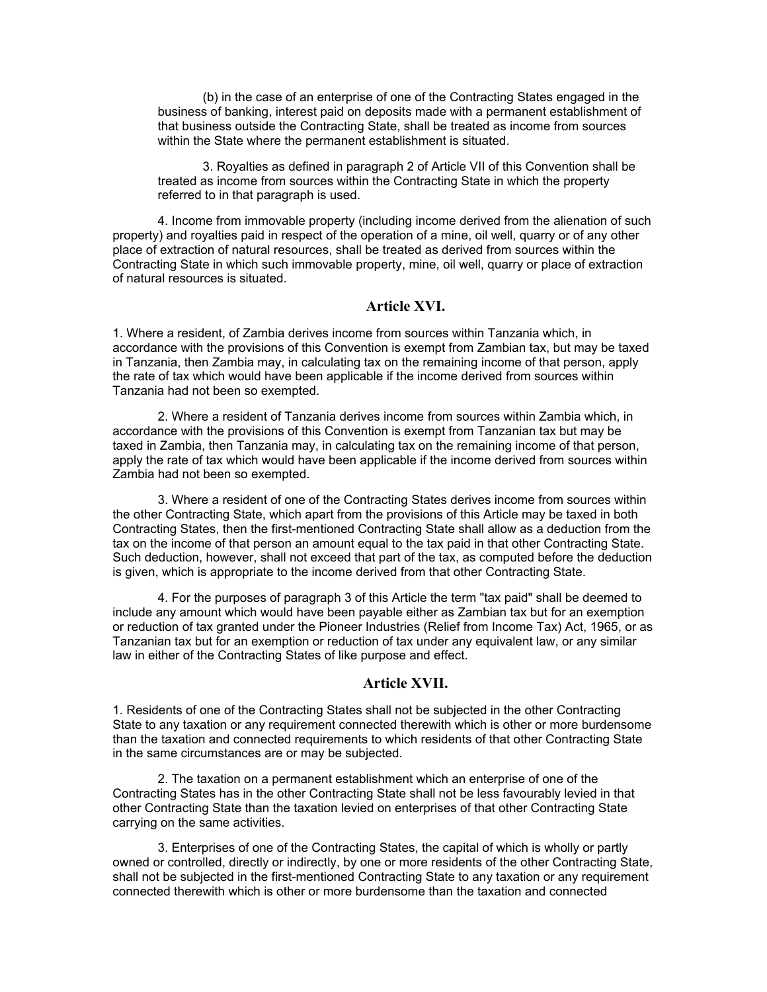(b) in the case of an enterprise of one of the Contracting States engaged in the business of banking, interest paid on deposits made with a permanent establishment of that business outside the Contracting State, shall be treated as income from sources within the State where the permanent establishment is situated.

3. Royalties as defined in paragraph 2 of Article VII of this Convention shall be treated as income from sources within the Contracting State in which the property referred to in that paragraph is used.

4. Income from immovable property (including income derived from the alienation of such property) and royalties paid in respect of the operation of a mine, oil well, quarry or of any other place of extraction of natural resources, shall be treated as derived from sources within the Contracting State in which such immovable property, mine, oil well, quarry or place of extraction of natural resources is situated.

## **Article XVI.**

1. Where a resident, of Zambia derives income from sources within Tanzania which, in accordance with the provisions of this Convention is exempt from Zambian tax, but may be taxed in Tanzania, then Zambia may, in calculating tax on the remaining income of that person, apply the rate of tax which would have been applicable if the income derived from sources within Tanzania had not been so exempted.

2. Where a resident of Tanzania derives income from sources within Zambia which, in accordance with the provisions of this Convention is exempt from Tanzanian tax but may be taxed in Zambia, then Tanzania may, in calculating tax on the remaining income of that person, apply the rate of tax which would have been applicable if the income derived from sources within Zambia had not been so exempted.

3. Where a resident of one of the Contracting States derives income from sources within the other Contracting State, which apart from the provisions of this Article may be taxed in both Contracting States, then the first-mentioned Contracting State shall allow as a deduction from the tax on the income of that person an amount equal to the tax paid in that other Contracting State. Such deduction, however, shall not exceed that part of the tax, as computed before the deduction is given, which is appropriate to the income derived from that other Contracting State.

4. For the purposes of paragraph 3 of this Article the term "tax paid" shall be deemed to include any amount which would have been payable either as Zambian tax but for an exemption or reduction of tax granted under the Pioneer Industries (Relief from Income Tax) Act, 1965, or as Tanzanian tax but for an exemption or reduction of tax under any equivalent law, or any similar law in either of the Contracting States of like purpose and effect.

## **Article XVII.**

1. Residents of one of the Contracting States shall not be subjected in the other Contracting State to any taxation or any requirement connected therewith which is other or more burdensome than the taxation and connected requirements to which residents of that other Contracting State in the same circumstances are or may be subjected.

2. The taxation on a permanent establishment which an enterprise of one of the Contracting States has in the other Contracting State shall not be less favourably levied in that other Contracting State than the taxation levied on enterprises of that other Contracting State carrying on the same activities.

3. Enterprises of one of the Contracting States, the capital of which is wholly or partly owned or controlled, directly or indirectly, by one or more residents of the other Contracting State, shall not be subjected in the first-mentioned Contracting State to any taxation or any requirement connected therewith which is other or more burdensome than the taxation and connected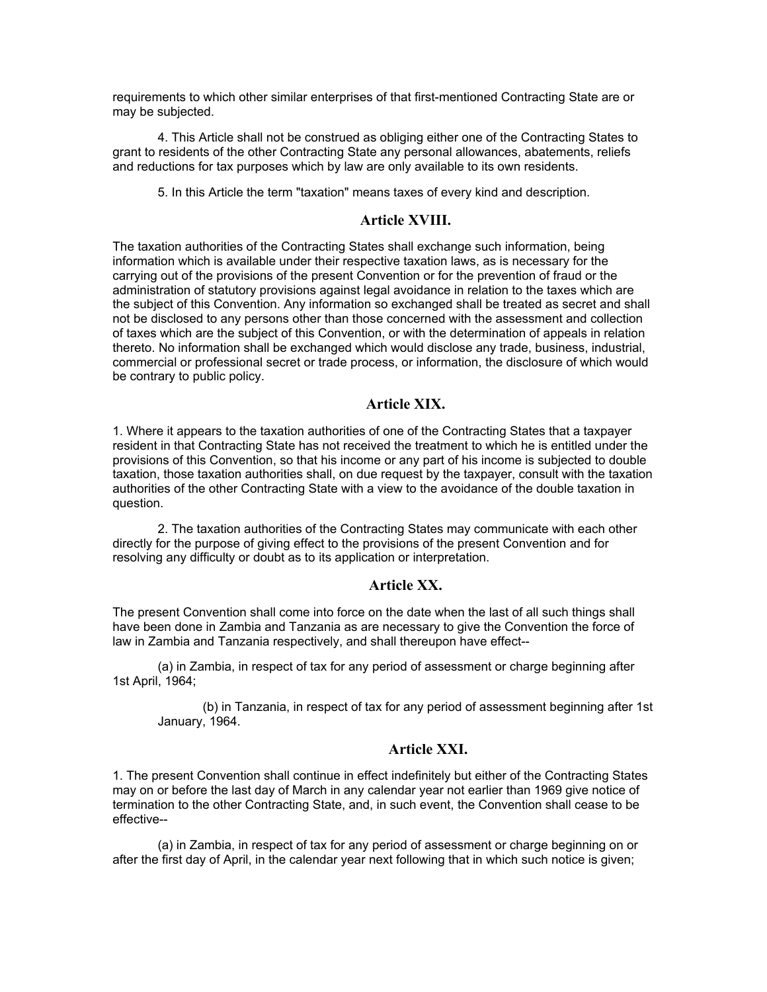requirements to which other similar enterprises of that first-mentioned Contracting State are or may be subjected.

4. This Article shall not be construed as obliging either one of the Contracting States to grant to residents of the other Contracting State any personal allowances, abatements, reliefs and reductions for tax purposes which by law are only available to its own residents.

5. In this Article the term "taxation" means taxes of every kind and description.

## **Article XVIII.**

The taxation authorities of the Contracting States shall exchange such information, being information which is available under their respective taxation laws, as is necessary for the carrying out of the provisions of the present Convention or for the prevention of fraud or the administration of statutory provisions against legal avoidance in relation to the taxes which are the subject of this Convention. Any information so exchanged shall be treated as secret and shall not be disclosed to any persons other than those concerned with the assessment and collection of taxes which are the subject of this Convention, or with the determination of appeals in relation thereto. No information shall be exchanged which would disclose any trade, business, industrial, commercial or professional secret or trade process, or information, the disclosure of which would be contrary to public policy.

## **Article XIX.**

1. Where it appears to the taxation authorities of one of the Contracting States that a taxpayer resident in that Contracting State has not received the treatment to which he is entitled under the provisions of this Convention, so that his income or any part of his income is subjected to double taxation, those taxation authorities shall, on due request by the taxpayer, consult with the taxation authorities of the other Contracting State with a view to the avoidance of the double taxation in question.

2. The taxation authorities of the Contracting States may communicate with each other directly for the purpose of giving effect to the provisions of the present Convention and for resolving any difficulty or doubt as to its application or interpretation.

## **Article XX.**

The present Convention shall come into force on the date when the last of all such things shall have been done in Zambia and Tanzania as are necessary to give the Convention the force of law in Zambia and Tanzania respectively, and shall thereupon have effect--

(a) in Zambia, in respect of tax for any period of assessment or charge beginning after 1st April, 1964;

(b) in Tanzania, in respect of tax for any period of assessment beginning after 1st January, 1964.

## **Article XXI.**

1. The present Convention shall continue in effect indefinitely but either of the Contracting States may on or before the last day of March in any calendar year not earlier than 1969 give notice of termination to the other Contracting State, and, in such event, the Convention shall cease to be effective--

(a) in Zambia, in respect of tax for any period of assessment or charge beginning on or after the first day of April, in the calendar year next following that in which such notice is given;